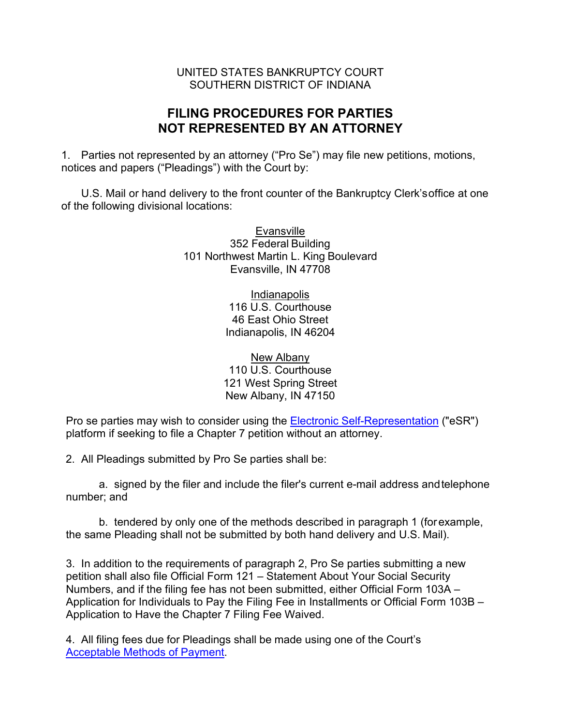## UNITED STATES BANKRUPTCY COURT SOUTHERN DISTRICT OF INDIANA

## **FILING PROCEDURES FOR PARTIES NOT REPRESENTED BY AN ATTORNEY**

1. Parties not represented by an attorney ("Pro Se") may file new petitions, motions, notices and papers ("Pleadings") with the Court by:

U.S. Mail or hand delivery to the front counter of the Bankruptcy Clerk'soffice at one of the following divisional locations:

> Evansville 352 Federal Building 101 Northwest Martin L. King Boulevard Evansville, IN 47708

> > **Indianapolis** 116 U.S. Courthouse 46 East Ohio Street Indianapolis, IN 46204

New Albany 110 U.S. Courthouse 121 West Spring Street New Albany, IN 47150

Pro se parties may wish to consider using the **Electronic Self-Representation** ("eSR") platform if seeking to file a Chapter 7 petition without an attorney.

2. All Pleadings submitted by Pro Se parties shall be:

a. signed by the filer and include the filer's current e-mail address andtelephone number; and

b. tendered by only one of the methods described in paragraph 1 (forexample, the same Pleading shall not be submitted by both hand delivery and U.S. Mail).

3. In addition to the requirements of paragraph 2, Pro Se parties submitting a new petition shall also file Official Form 121 – Statement About Your Social Security Numbers, and if the filing fee has not been submitted, either Official Form 103A – Application for Individuals to Pay the Filing Fee in Installments or Official Form 103B – Application to Have the Chapter 7 Filing Fee Waived.

4. All filing fees due for Pleadings shall be made using one of the Court's [Acceptable Methods of Payment.](https://www.insb.uscourts.gov/sites/insb/files/Acceptable-Payment-Methods.pdf)